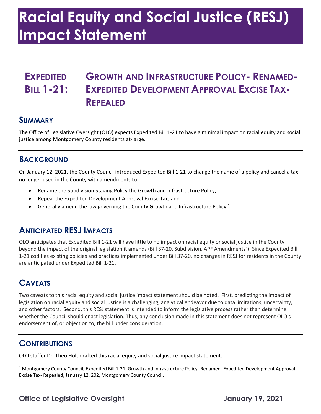# **Racial Equity and Social Justice (RESJ) Impact Statement**

# **EXPEDITED GROWTH AND INFRASTRUCTURE POLICY- RENAMED-BILL 1-21: EXPEDITED DEVELOPMENT APPROVAL EXCISE TAX-REPEALED**

#### **SUMMARY**

 The Office of Legislative Oversight (OLO) expects Expedited Bill 1-21 to have a minimal impact on racial equity and social justice among Montgomery County residents at-large.

#### **BACKGROUND**

 On January 12, 2021, the County Council introduced Expedited Bill 1-21 to change the name of a policy and cancel a tax no longer used in the County with amendments to:

- Rename the Subdivision Staging Policy the Growth and Infrastructure Policy;
- Repeal the Expedited Development Approval Excise Tax; and
- Generally amend the law governing the County Growth and Infrastructure Policy.<sup>1</sup>

## **ANTICIPATED RESJ IMPACTS**

 OLO anticipates that Expedited Bill 1-21 will have little to no impact on racial equity or social justice in the County beyond the impact of the original legislation it amends (Bill 37-20, Subdivision, APF Amendments<sup>2</sup>). Since Expedited Bill 1-21 codifies existing policies and practices implemented under Bill 37-20, no changes in RESJ for residents in the County are anticipated under Expedited Bill 1-21.

# **CAVEATS**

 Two caveats to this racial equity and social justice impact statement should be noted. First, predicting the impact of and other factors. Second, this RESJ statement is intended to inform the legislative process rather than determine whether the Council should enact legislation. Thus, any conclusion made in this statement does not represent OLO's endorsement of, or objection to, the bill under consideration. legislation on racial equity and social justice is a challenging, analytical endeavor due to data limitations, uncertainty,

## **CONTRIBUTIONS**

OLO staffer Dr. Theo Holt drafted this racial equity and social justice impact statement.

 $1$  Montgomery County Council, Expedited Bill 1-21, Growth and Infrastructure Policy- Renamed- Expedited Development Approval Excise Tax- Repealed, January 12, 202, Montgomery County Council.